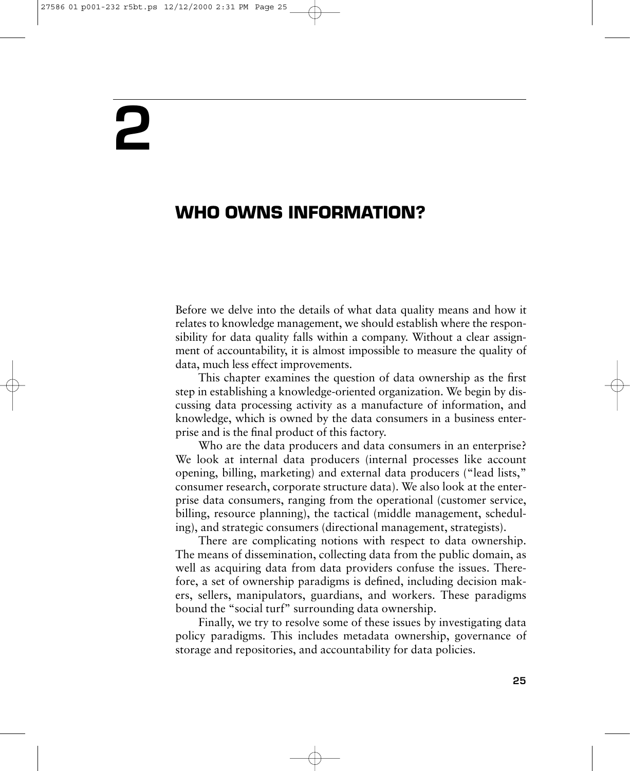# **2**

## **WHO OWNS INFORMATION?**

Before we delve into the details of what data quality means and how it relates to knowledge management, we should establish where the responsibility for data quality falls within a company. Without a clear assignment of accountability, it is almost impossible to measure the quality of data, much less effect improvements.

This chapter examines the question of data ownership as the first step in establishing a knowledge-oriented organization. We begin by discussing data processing activity as a manufacture of information, and knowledge, which is owned by the data consumers in a business enterprise and is the final product of this factory.

Who are the data producers and data consumers in an enterprise? We look at internal data producers (internal processes like account opening, billing, marketing) and external data producers ("lead lists," consumer research, corporate structure data). We also look at the enterprise data consumers, ranging from the operational (customer service, billing, resource planning), the tactical (middle management, scheduling), and strategic consumers (directional management, strategists).

There are complicating notions with respect to data ownership. The means of dissemination, collecting data from the public domain, as well as acquiring data from data providers confuse the issues. Therefore, a set of ownership paradigms is defined, including decision makers, sellers, manipulators, guardians, and workers. These paradigms bound the "social turf" surrounding data ownership.

Finally, we try to resolve some of these issues by investigating data policy paradigms. This includes metadata ownership, governance of storage and repositories, and accountability for data policies.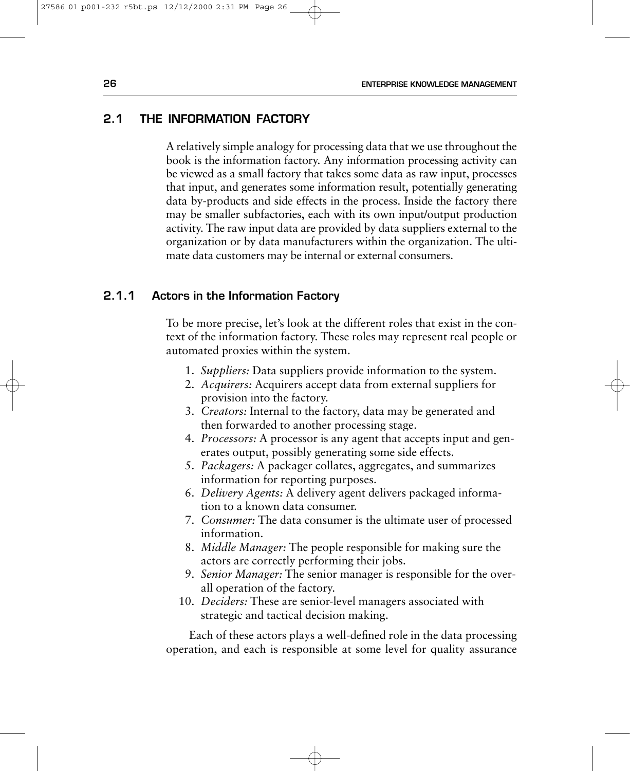#### **2.1 THE INFORMATION FACTORY**

A relatively simple analogy for processing data that we use throughout the book is the information factory. Any information processing activity can be viewed as a small factory that takes some data as raw input, processes that input, and generates some information result, potentially generating data by-products and side effects in the process. Inside the factory there may be smaller subfactories, each with its own input/output production activity. The raw input data are provided by data suppliers external to the organization or by data manufacturers within the organization. The ultimate data customers may be internal or external consumers.

#### **2.1.1 Actors in the Information Factory**

To be more precise, let's look at the different roles that exist in the context of the information factory. These roles may represent real people or automated proxies within the system.

- 1. *Suppliers:* Data suppliers provide information to the system.
- 2. *Acquirers:* Acquirers accept data from external suppliers for provision into the factory.
- 3. *Creators:* Internal to the factory, data may be generated and then forwarded to another processing stage.
- 4. *Processors:* A processor is any agent that accepts input and generates output, possibly generating some side effects.
- 5. *Packagers:* A packager collates, aggregates, and summarizes information for reporting purposes.
- 6. *Delivery Agents:* A delivery agent delivers packaged information to a known data consumer.
- 7. *Consumer:* The data consumer is the ultimate user of processed information.
- 8. *Middle Manager:* The people responsible for making sure the actors are correctly performing their jobs.
- 9. *Senior Manager:* The senior manager is responsible for the overall operation of the factory.
- 10. *Deciders:* These are senior-level managers associated with strategic and tactical decision making.

Each of these actors plays a well-defined role in the data processing operation, and each is responsible at some level for quality assurance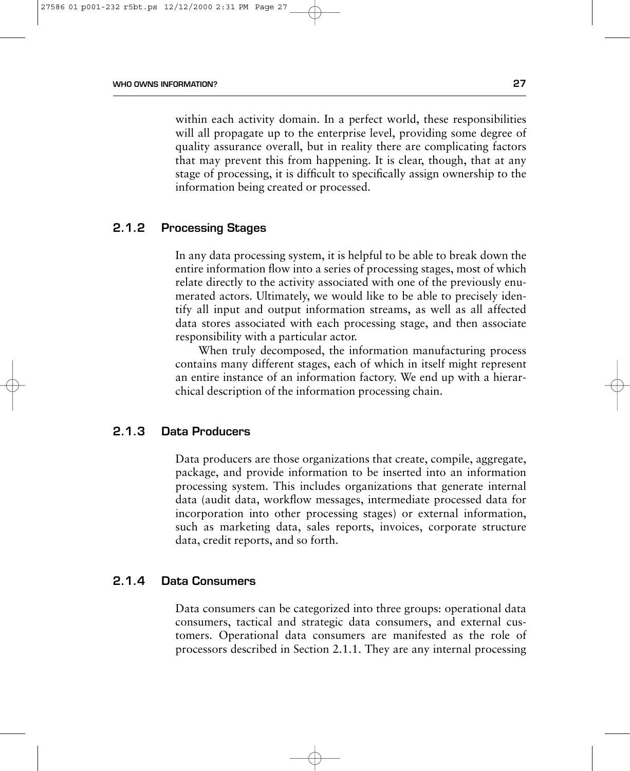within each activity domain. In a perfect world, these responsibilities will all propagate up to the enterprise level, providing some degree of quality assurance overall, but in reality there are complicating factors that may prevent this from happening. It is clear, though, that at any stage of processing, it is difficult to specifically assign ownership to the information being created or processed.

#### **2.1.2 Processing Stages**

In any data processing system, it is helpful to be able to break down the entire information flow into a series of processing stages, most of which relate directly to the activity associated with one of the previously enumerated actors. Ultimately, we would like to be able to precisely identify all input and output information streams, as well as all affected data stores associated with each processing stage, and then associate responsibility with a particular actor.

When truly decomposed, the information manufacturing process contains many different stages, each of which in itself might represent an entire instance of an information factory. We end up with a hierarchical description of the information processing chain.

#### **2.1.3 Data Producers**

Data producers are those organizations that create, compile, aggregate, package, and provide information to be inserted into an information processing system. This includes organizations that generate internal data (audit data, workflow messages, intermediate processed data for incorporation into other processing stages) or external information, such as marketing data, sales reports, invoices, corporate structure data, credit reports, and so forth.

#### **2.1.4 Data Consumers**

Data consumers can be categorized into three groups: operational data consumers, tactical and strategic data consumers, and external customers. Operational data consumers are manifested as the role of processors described in Section 2.1.1. They are any internal processing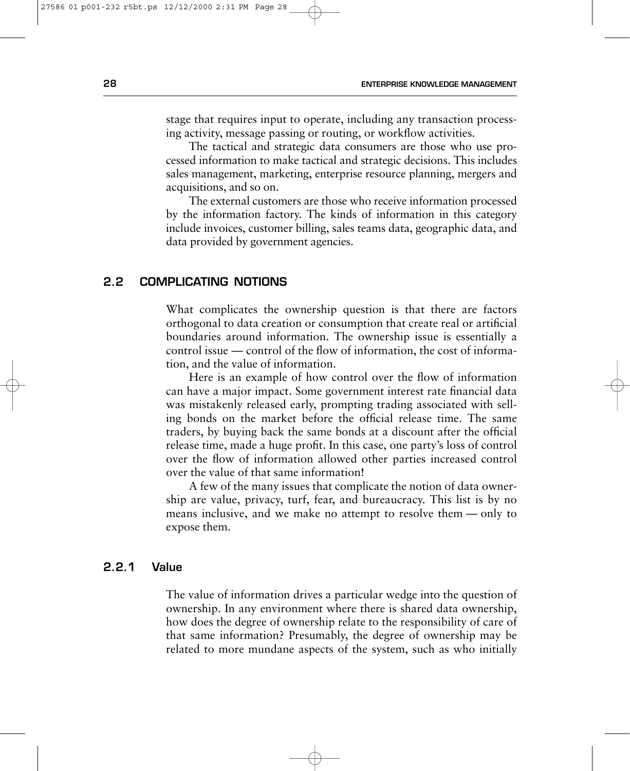stage that requires input to operate, including any transaction processing activity, message passing or routing, or workflow activities.

The tactical and strategic data consumers are those who use processed information to make tactical and strategic decisions. This includes sales management, marketing, enterprise resource planning, mergers and acquisitions, and so on.

The external customers are those who receive information processed by the information factory. The kinds of information in this category include invoices, customer billing, sales teams data, geographic data, and data provided by government agencies.

#### **2.2 COMPLICATING NOTIONS**

What complicates the ownership question is that there are factors orthogonal to data creation or consumption that create real or artificial boundaries around information. The ownership issue is essentially a control issue — control of the flow of information, the cost of information, and the value of information.

Here is an example of how control over the flow of information can have a major impact. Some government interest rate financial data was mistakenly released early, prompting trading associated with selling bonds on the market before the official release time. The same traders, by buying back the same bonds at a discount after the official release time, made a huge profit. In this case, one party's loss of control over the flow of information allowed other parties increased control over the value of that same information!

A few of the many issues that complicate the notion of data ownership are value, privacy, turf, fear, and bureaucracy. This list is by no means inclusive, and we make no attempt to resolve them — only to expose them.

#### **2.2.1 Value**

The value of information drives a particular wedge into the question of ownership. In any environment where there is shared data ownership, how does the degree of ownership relate to the responsibility of care of that same information? Presumably, the degree of ownership may be related to more mundane aspects of the system, such as who initially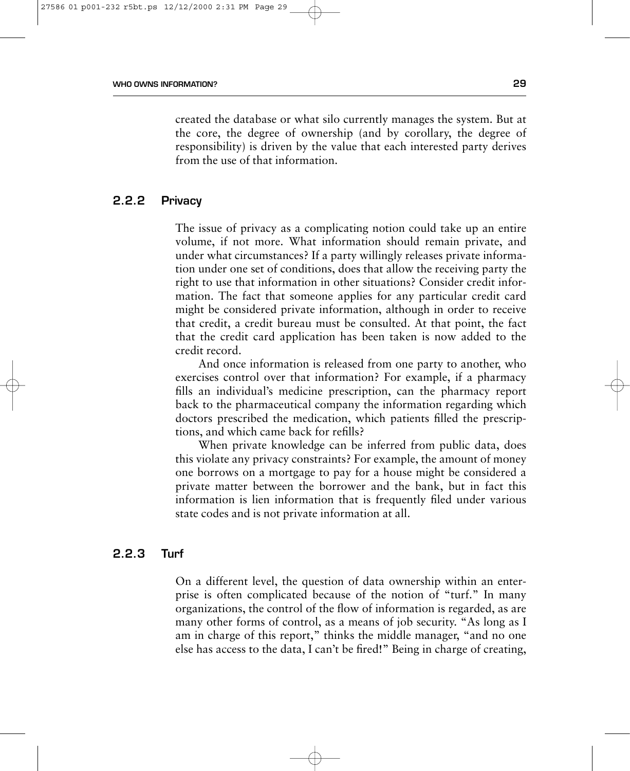created the database or what silo currently manages the system. But at the core, the degree of ownership (and by corollary, the degree of responsibility) is driven by the value that each interested party derives from the use of that information.

#### **2.2.2 Privacy**

The issue of privacy as a complicating notion could take up an entire volume, if not more. What information should remain private, and under what circumstances? If a party willingly releases private information under one set of conditions, does that allow the receiving party the right to use that information in other situations? Consider credit information. The fact that someone applies for any particular credit card might be considered private information, although in order to receive that credit, a credit bureau must be consulted. At that point, the fact that the credit card application has been taken is now added to the credit record.

And once information is released from one party to another, who exercises control over that information? For example, if a pharmacy fills an individual's medicine prescription, can the pharmacy report back to the pharmaceutical company the information regarding which doctors prescribed the medication, which patients filled the prescriptions, and which came back for refills?

When private knowledge can be inferred from public data, does this violate any privacy constraints? For example, the amount of money one borrows on a mortgage to pay for a house might be considered a private matter between the borrower and the bank, but in fact this information is lien information that is frequently filed under various state codes and is not private information at all.

#### **2.2.3 Turf**

On a different level, the question of data ownership within an enterprise is often complicated because of the notion of "turf." In many organizations, the control of the flow of information is regarded, as are many other forms of control, as a means of job security. "As long as I am in charge of this report," thinks the middle manager, "and no one else has access to the data, I can't be fired!" Being in charge of creating,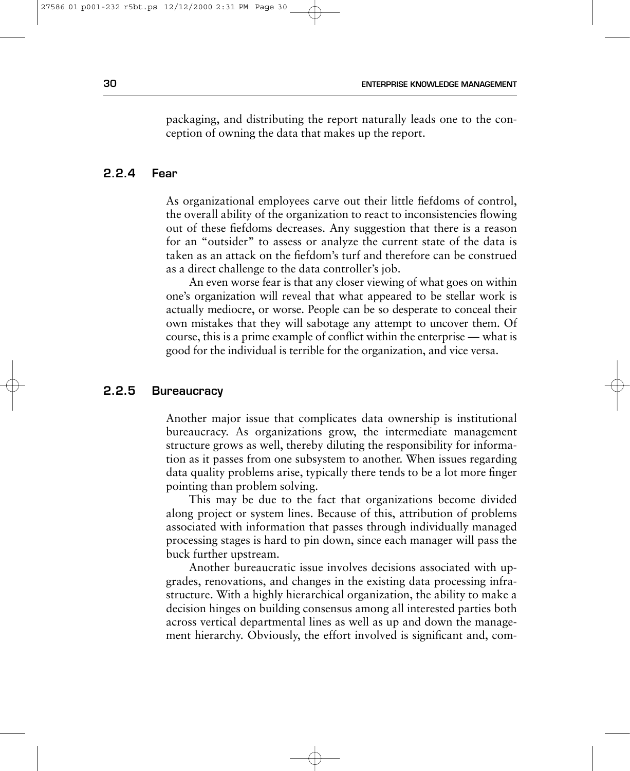$\sqrt{2}$  $\frac{1}{2}$  packaging, and distributing the report naturally leads one to the conception of owning the data that makes up the report.

#### **2.2.4 Fear**

As organizational employees carve out their little fiefdoms of control, the overall ability of the organization to react to inconsistencies flowing out of these fiefdoms decreases. Any suggestion that there is a reason for an "outsider" to assess or analyze the current state of the data is taken as an attack on the fiefdom's turf and therefore can be construed as a direct challenge to the data controller's job.

An even worse fear is that any closer viewing of what goes on within one's organization will reveal that what appeared to be stellar work is actually mediocre, or worse. People can be so desperate to conceal their own mistakes that they will sabotage any attempt to uncover them. Of course, this is a prime example of conflict within the enterprise — what is good for the individual is terrible for the organization, and vice versa.

#### **2.2.5 Bureaucracy**

Another major issue that complicates data ownership is institutional bureaucracy. As organizations grow, the intermediate management structure grows as well, thereby diluting the responsibility for information as it passes from one subsystem to another. When issues regarding data quality problems arise, typically there tends to be a lot more finger pointing than problem solving.

This may be due to the fact that organizations become divided along project or system lines. Because of this, attribution of problems associated with information that passes through individually managed processing stages is hard to pin down, since each manager will pass the buck further upstream.

Another bureaucratic issue involves decisions associated with upgrades, renovations, and changes in the existing data processing infrastructure. With a highly hierarchical organization, the ability to make a decision hinges on building consensus among all interested parties both across vertical departmental lines as well as up and down the management hierarchy. Obviously, the effort involved is significant and, com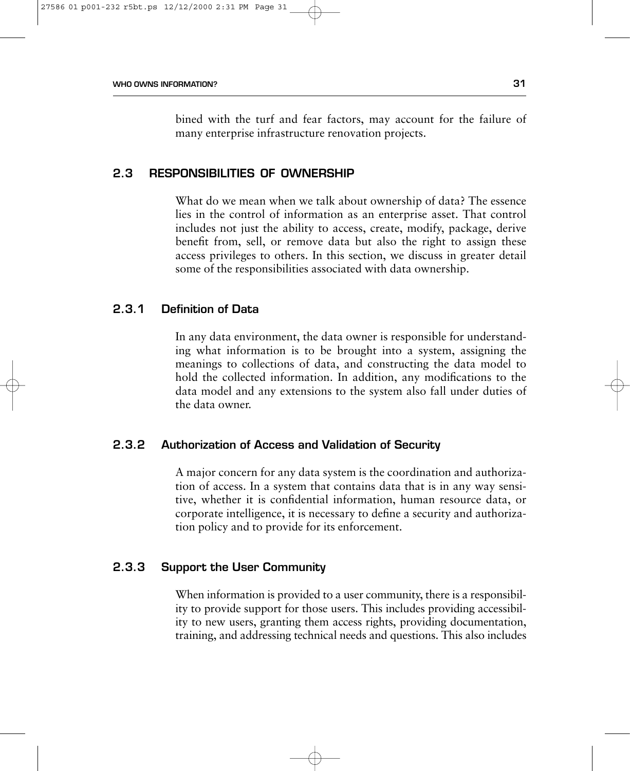**WHO OWNS INFORMATION? 31**

bined with the turf and fear factors, may account for the failure of many enterprise infrastructure renovation projects.

#### **2.3 RESPONSIBILITIES OF OWNERSHIP**

What do we mean when we talk about ownership of data? The essence lies in the control of information as an enterprise asset. That control includes not just the ability to access, create, modify, package, derive benefit from, sell, or remove data but also the right to assign these access privileges to others. In this section, we discuss in greater detail some of the responsibilities associated with data ownership.

#### **2.3.1 Definition of Data**

In any data environment, the data owner is responsible for understanding what information is to be brought into a system, assigning the meanings to collections of data, and constructing the data model to hold the collected information. In addition, any modifications to the data model and any extensions to the system also fall under duties of the data owner.

#### **2.3.2 Authorization of Access and Validation of Security**

A major concern for any data system is the coordination and authorization of access. In a system that contains data that is in any way sensitive, whether it is confidential information, human resource data, or corporate intelligence, it is necessary to define a security and authorization policy and to provide for its enforcement.

#### **2.3.3 Support the User Community**

When information is provided to a user community, there is a responsibility to provide support for those users. This includes providing accessibility to new users, granting them access rights, providing documentation, training, and addressing technical needs and questions. This also includes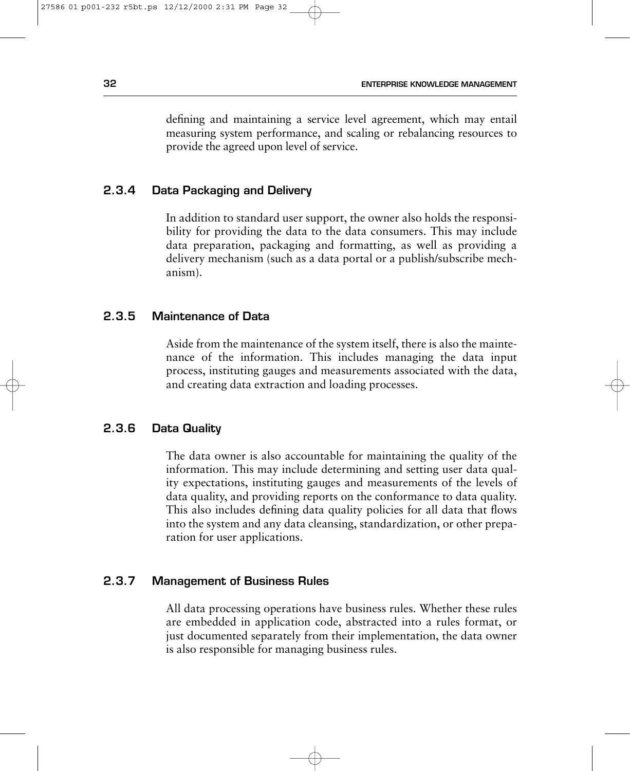defining and maintaining a service level agreement, which may entail measuring system performance, and scaling or rebalancing resources to provide the agreed upon level of service.

#### **2.3.4 Data Packaging and Delivery**

In addition to standard user support, the owner also holds the responsibility for providing the data to the data consumers. This may include data preparation, packaging and formatting, as well as providing a delivery mechanism (such as a data portal or a publish/subscribe mechanism).

#### **2.3.5 Maintenance of Data**

Aside from the maintenance of the system itself, there is also the maintenance of the information. This includes managing the data input process, instituting gauges and measurements associated with the data, and creating data extraction and loading processes.

#### **2.3.6 Data Quality**

The data owner is also accountable for maintaining the quality of the information. This may include determining and setting user data quality expectations, instituting gauges and measurements of the levels of data quality, and providing reports on the conformance to data quality. This also includes defining data quality policies for all data that flows into the system and any data cleansing, standardization, or other preparation for user applications.

#### **2.3.7 Management of Business Rules**

All data processing operations have business rules. Whether these rules are embedded in application code, abstracted into a rules format, or just documented separately from their implementation, the data owner is also responsible for managing business rules.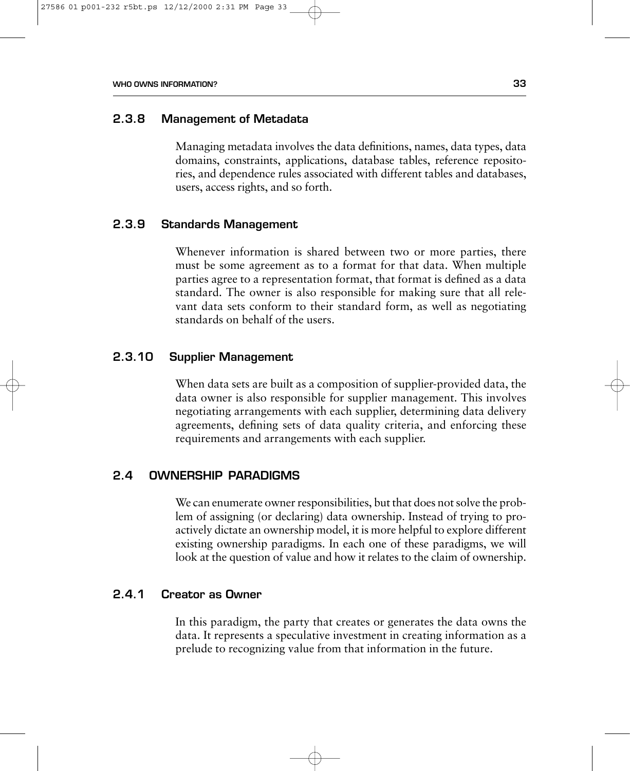

**WHO OWNS INFORMATION? 33**

#### **2.3.8 Management of Metadata**

Managing metadata involves the data definitions, names, data types, data domains, constraints, applications, database tables, reference repositories, and dependence rules associated with different tables and databases, users, access rights, and so forth.

#### **2.3.9 Standards Management**

Whenever information is shared between two or more parties, there must be some agreement as to a format for that data. When multiple parties agree to a representation format, that format is defined as a data standard. The owner is also responsible for making sure that all relevant data sets conform to their standard form, as well as negotiating standards on behalf of the users.

#### **2.3.10 Supplier Management**

When data sets are built as a composition of supplier-provided data, the data owner is also responsible for supplier management. This involves negotiating arrangements with each supplier, determining data delivery agreements, defining sets of data quality criteria, and enforcing these requirements and arrangements with each supplier.

#### **2.4 OWNERSHIP PARADIGMS**

We can enumerate owner responsibilities, but that does not solve the problem of assigning (or declaring) data ownership. Instead of trying to proactively dictate an ownership model, it is more helpful to explore different existing ownership paradigms. In each one of these paradigms, we will look at the question of value and how it relates to the claim of ownership.

#### **2.4.1 Creator as Owner**

In this paradigm, the party that creates or generates the data owns the data. It represents a speculative investment in creating information as a prelude to recognizing value from that information in the future.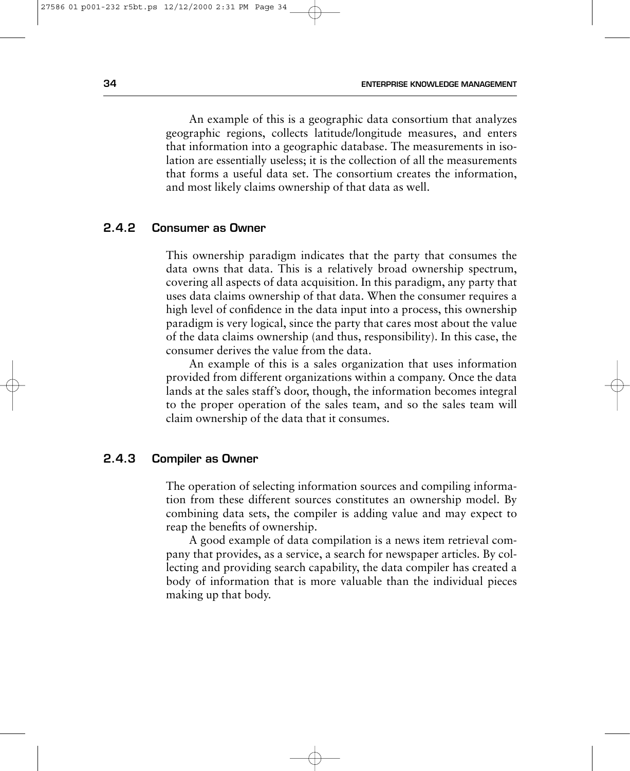An example of this is a geographic data consortium that analyzes geographic regions, collects latitude/longitude measures, and enters that information into a geographic database. The measurements in isolation are essentially useless; it is the collection of all the measurements that forms a useful data set. The consortium creates the information, and most likely claims ownership of that data as well.

#### **2.4.2 Consumer as Owner**

This ownership paradigm indicates that the party that consumes the data owns that data. This is a relatively broad ownership spectrum, covering all aspects of data acquisition. In this paradigm, any party that uses data claims ownership of that data. When the consumer requires a high level of confidence in the data input into a process, this ownership paradigm is very logical, since the party that cares most about the value of the data claims ownership (and thus, responsibility). In this case, the consumer derives the value from the data.

An example of this is a sales organization that uses information provided from different organizations within a company. Once the data lands at the sales staff's door, though, the information becomes integral to the proper operation of the sales team, and so the sales team will claim ownership of the data that it consumes.

#### **2.4.3 Compiler as Owner**

The operation of selecting information sources and compiling information from these different sources constitutes an ownership model. By combining data sets, the compiler is adding value and may expect to reap the benefits of ownership.

A good example of data compilation is a news item retrieval company that provides, as a service, a search for newspaper articles. By collecting and providing search capability, the data compiler has created a body of information that is more valuable than the individual pieces making up that body.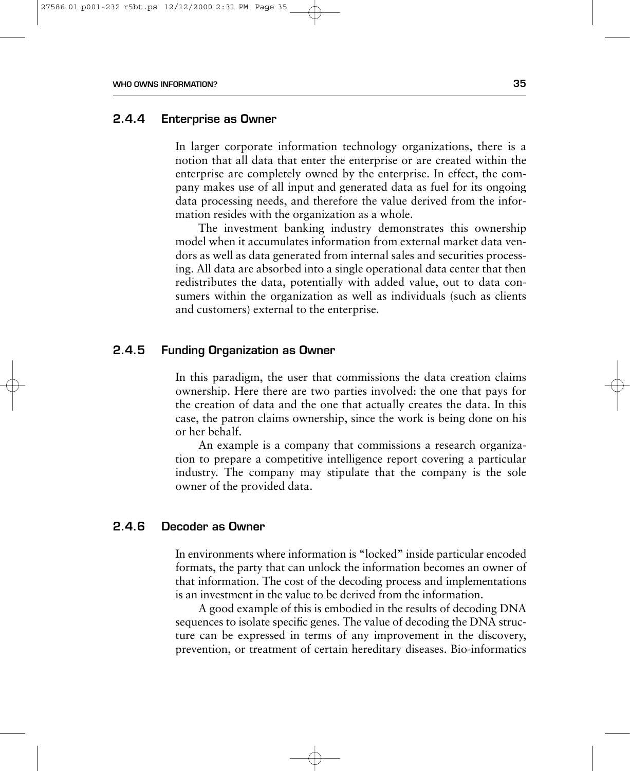#### **2.4.4 Enterprise as Owner**

In larger corporate information technology organizations, there is a notion that all data that enter the enterprise or are created within the enterprise are completely owned by the enterprise. In effect, the company makes use of all input and generated data as fuel for its ongoing data processing needs, and therefore the value derived from the information resides with the organization as a whole.

The investment banking industry demonstrates this ownership model when it accumulates information from external market data vendors as well as data generated from internal sales and securities processing. All data are absorbed into a single operational data center that then redistributes the data, potentially with added value, out to data consumers within the organization as well as individuals (such as clients and customers) external to the enterprise.

#### **2.4.5 Funding Organization as Owner**

In this paradigm, the user that commissions the data creation claims ownership. Here there are two parties involved: the one that pays for the creation of data and the one that actually creates the data. In this case, the patron claims ownership, since the work is being done on his or her behalf.

An example is a company that commissions a research organization to prepare a competitive intelligence report covering a particular industry. The company may stipulate that the company is the sole owner of the provided data.

#### **2.4.6 Decoder as Owner**

In environments where information is "locked" inside particular encoded formats, the party that can unlock the information becomes an owner of that information. The cost of the decoding process and implementations is an investment in the value to be derived from the information.

A good example of this is embodied in the results of decoding DNA sequences to isolate specific genes. The value of decoding the DNA structure can be expressed in terms of any improvement in the discovery, prevention, or treatment of certain hereditary diseases. Bio-informatics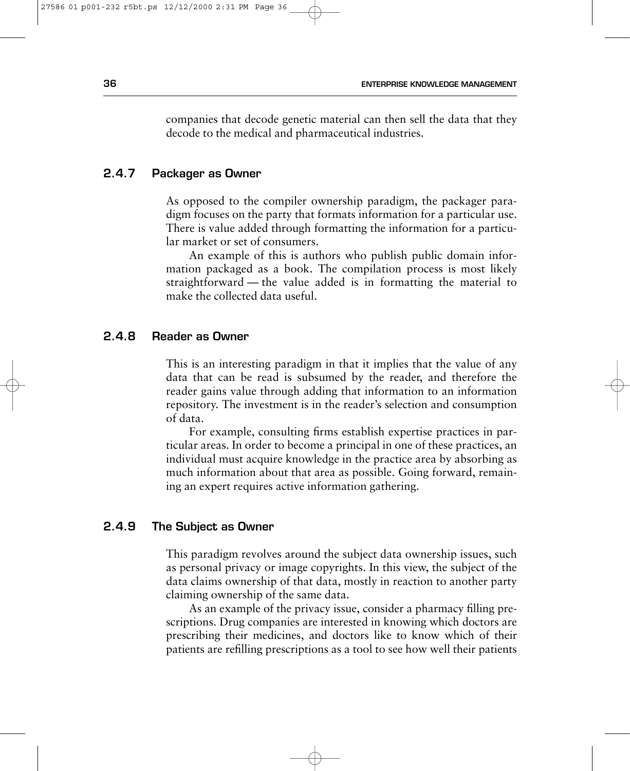$\sqrt{2}$  $\frac{1}{2}$  companies that decode genetic material can then sell the data that they decode to the medical and pharmaceutical industries.

#### **2.4.7 Packager as Owner**

As opposed to the compiler ownership paradigm, the packager paradigm focuses on the party that formats information for a particular use. There is value added through formatting the information for a particular market or set of consumers.

An example of this is authors who publish public domain information packaged as a book. The compilation process is most likely straightforward — the value added is in formatting the material to make the collected data useful.

#### **2.4.8 Reader as Owner**

This is an interesting paradigm in that it implies that the value of any data that can be read is subsumed by the reader, and therefore the reader gains value through adding that information to an information repository. The investment is in the reader's selection and consumption of data.

For example, consulting firms establish expertise practices in particular areas. In order to become a principal in one of these practices, an individual must acquire knowledge in the practice area by absorbing as much information about that area as possible. Going forward, remaining an expert requires active information gathering.

#### **2.4.9 The Subject as Owner**

This paradigm revolves around the subject data ownership issues, such as personal privacy or image copyrights. In this view, the subject of the data claims ownership of that data, mostly in reaction to another party claiming ownership of the same data.

As an example of the privacy issue, consider a pharmacy filling prescriptions. Drug companies are interested in knowing which doctors are prescribing their medicines, and doctors like to know which of their patients are refilling prescriptions as a tool to see how well their patients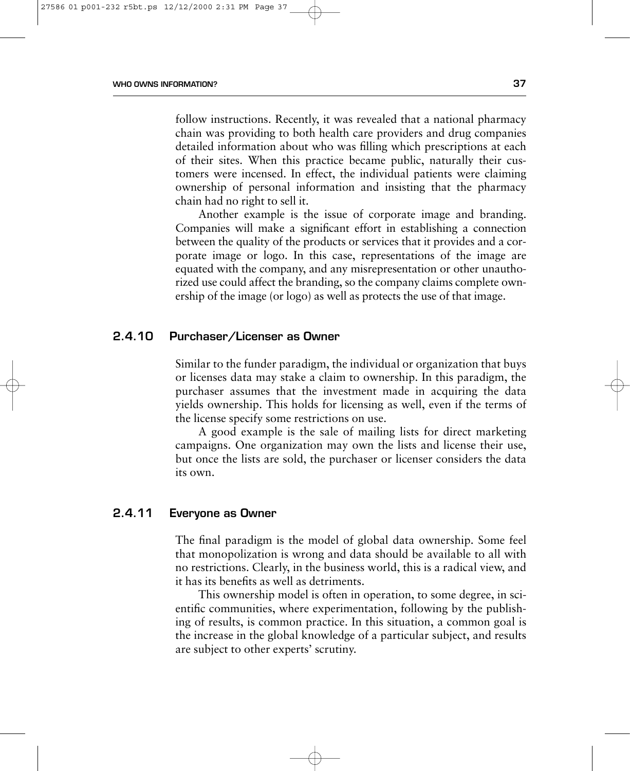follow instructions. Recently, it was revealed that a national pharmacy chain was providing to both health care providers and drug companies detailed information about who was filling which prescriptions at each of their sites. When this practice became public, naturally their customers were incensed. In effect, the individual patients were claiming ownership of personal information and insisting that the pharmacy chain had no right to sell it.

Another example is the issue of corporate image and branding. Companies will make a significant effort in establishing a connection between the quality of the products or services that it provides and a corporate image or logo. In this case, representations of the image are equated with the company, and any misrepresentation or other unauthorized use could affect the branding, so the company claims complete ownership of the image (or logo) as well as protects the use of that image.

#### **2.4.10 Purchaser/Licenser as Owner**

Similar to the funder paradigm, the individual or organization that buys or licenses data may stake a claim to ownership. In this paradigm, the purchaser assumes that the investment made in acquiring the data yields ownership. This holds for licensing as well, even if the terms of the license specify some restrictions on use.

A good example is the sale of mailing lists for direct marketing campaigns. One organization may own the lists and license their use, but once the lists are sold, the purchaser or licenser considers the data its own.

#### **2.4.11 Everyone as Owner**

The final paradigm is the model of global data ownership. Some feel that monopolization is wrong and data should be available to all with no restrictions. Clearly, in the business world, this is a radical view, and it has its benefits as well as detriments.

This ownership model is often in operation, to some degree, in scientific communities, where experimentation, following by the publishing of results, is common practice. In this situation, a common goal is the increase in the global knowledge of a particular subject, and results are subject to other experts' scrutiny.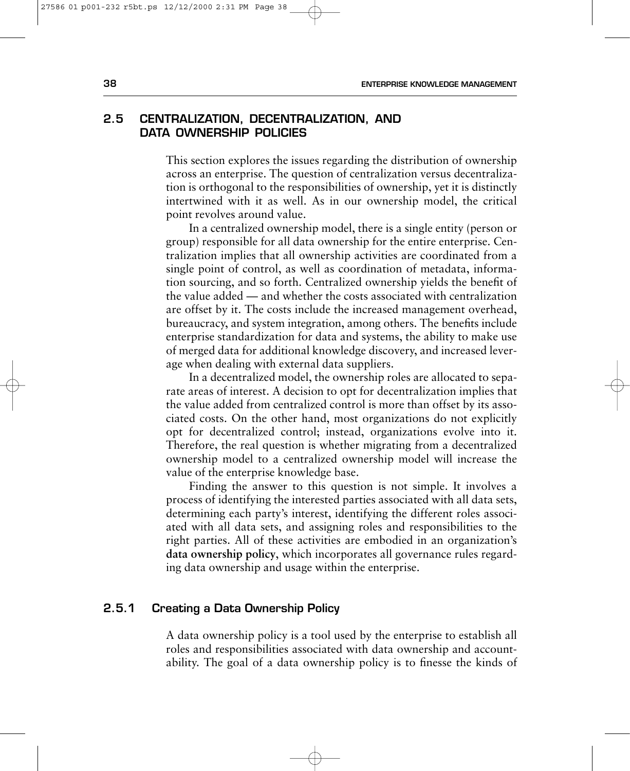### **2.5 CENTRALIZATION, DECENTRALIZATION, AND DATA OWNERSHIP POLICIES**

This section explores the issues regarding the distribution of ownership across an enterprise. The question of centralization versus decentralization is orthogonal to the responsibilities of ownership, yet it is distinctly intertwined with it as well. As in our ownership model, the critical point revolves around value.

In a centralized ownership model, there is a single entity (person or group) responsible for all data ownership for the entire enterprise. Centralization implies that all ownership activities are coordinated from a single point of control, as well as coordination of metadata, information sourcing, and so forth. Centralized ownership yields the benefit of the value added — and whether the costs associated with centralization are offset by it. The costs include the increased management overhead, bureaucracy, and system integration, among others. The benefits include enterprise standardization for data and systems, the ability to make use of merged data for additional knowledge discovery, and increased leverage when dealing with external data suppliers.

In a decentralized model, the ownership roles are allocated to separate areas of interest. A decision to opt for decentralization implies that the value added from centralized control is more than offset by its associated costs. On the other hand, most organizations do not explicitly opt for decentralized control; instead, organizations evolve into it. Therefore, the real question is whether migrating from a decentralized ownership model to a centralized ownership model will increase the value of the enterprise knowledge base.

Finding the answer to this question is not simple. It involves a process of identifying the interested parties associated with all data sets, determining each party's interest, identifying the different roles associated with all data sets, and assigning roles and responsibilities to the right parties. All of these activities are embodied in an organization's **data ownership policy**, which incorporates all governance rules regarding data ownership and usage within the enterprise.

#### **2.5.1 Creating a Data Ownership Policy**

A data ownership policy is a tool used by the enterprise to establish all roles and responsibilities associated with data ownership and accountability. The goal of a data ownership policy is to finesse the kinds of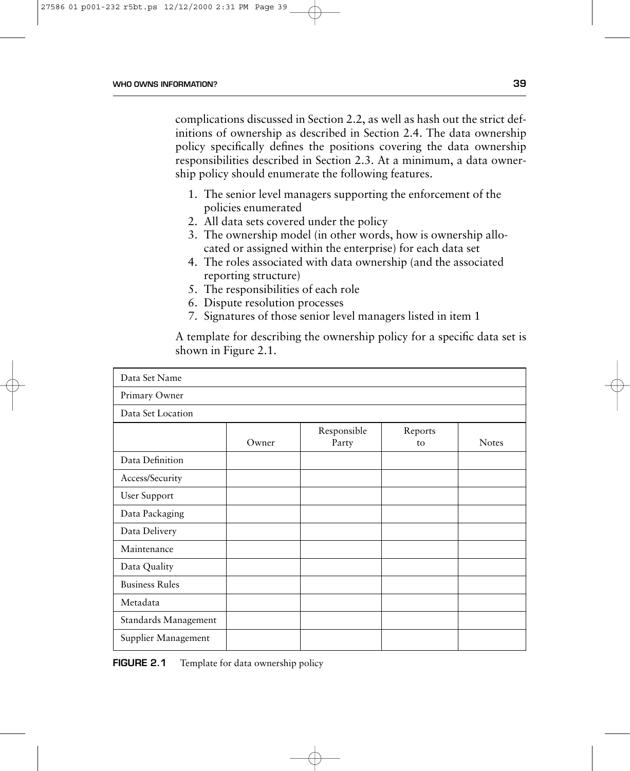complications discussed in Section 2.2, as well as hash out the strict definitions of ownership as described in Section 2.4. The data ownership policy specifically defines the positions covering the data ownership responsibilities described in Section 2.3. At a minimum, a data ownership policy should enumerate the following features.

- 1. The senior level managers supporting the enforcement of the policies enumerated
- 2. All data sets covered under the policy
- 3. The ownership model (in other words, how is ownership allocated or assigned within the enterprise) for each data set
- 4. The roles associated with data ownership (and the associated reporting structure)
- 5. The responsibilities of each role
- 6. Dispute resolution processes
- 7. Signatures of those senior level managers listed in item 1

A template for describing the ownership policy for a specific data set is shown in Figure 2.1.

| Data Set Name         |       |                      |               |              |
|-----------------------|-------|----------------------|---------------|--------------|
| Primary Owner         |       |                      |               |              |
| Data Set Location     |       |                      |               |              |
|                       | Owner | Responsible<br>Party | Reports<br>to | <b>Notes</b> |
| Data Definition       |       |                      |               |              |
| Access/Security       |       |                      |               |              |
| <b>User Support</b>   |       |                      |               |              |
| Data Packaging        |       |                      |               |              |
| Data Delivery         |       |                      |               |              |
| Maintenance           |       |                      |               |              |
| Data Quality          |       |                      |               |              |
| <b>Business Rules</b> |       |                      |               |              |
| Metadata              |       |                      |               |              |
| Standards Management  |       |                      |               |              |
| Supplier Management   |       |                      |               |              |

**FIGURE 2.1** Template for data ownership policy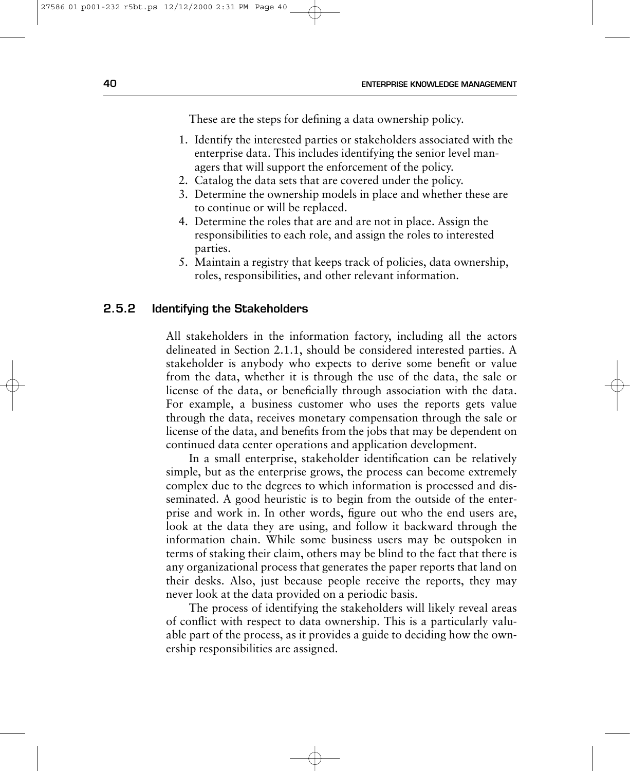These are the steps for defining a data ownership policy.

- 1. Identify the interested parties or stakeholders associated with the enterprise data. This includes identifying the senior level managers that will support the enforcement of the policy.
- 2. Catalog the data sets that are covered under the policy.
- 3. Determine the ownership models in place and whether these are to continue or will be replaced.
- 4. Determine the roles that are and are not in place. Assign the responsibilities to each role, and assign the roles to interested parties.
- 5. Maintain a registry that keeps track of policies, data ownership, roles, responsibilities, and other relevant information.

#### **2.5.2 Identifying the Stakeholders**

All stakeholders in the information factory, including all the actors delineated in Section 2.1.1, should be considered interested parties. A stakeholder is anybody who expects to derive some benefit or value from the data, whether it is through the use of the data, the sale or license of the data, or beneficially through association with the data. For example, a business customer who uses the reports gets value through the data, receives monetary compensation through the sale or license of the data, and benefits from the jobs that may be dependent on continued data center operations and application development.

In a small enterprise, stakeholder identification can be relatively simple, but as the enterprise grows, the process can become extremely complex due to the degrees to which information is processed and disseminated. A good heuristic is to begin from the outside of the enterprise and work in. In other words, figure out who the end users are, look at the data they are using, and follow it backward through the information chain. While some business users may be outspoken in terms of staking their claim, others may be blind to the fact that there is any organizational process that generates the paper reports that land on their desks. Also, just because people receive the reports, they may never look at the data provided on a periodic basis.

The process of identifying the stakeholders will likely reveal areas of conflict with respect to data ownership. This is a particularly valuable part of the process, as it provides a guide to deciding how the ownership responsibilities are assigned.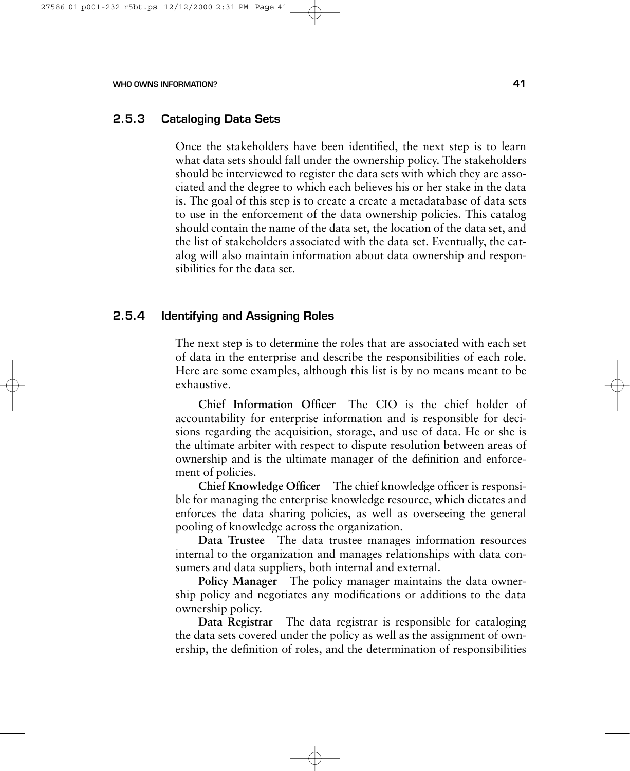#### **2.5.3 Cataloging Data Sets**

Once the stakeholders have been identified, the next step is to learn what data sets should fall under the ownership policy. The stakeholders should be interviewed to register the data sets with which they are associated and the degree to which each believes his or her stake in the data is. The goal of this step is to create a create a metadatabase of data sets to use in the enforcement of the data ownership policies. This catalog should contain the name of the data set, the location of the data set, and the list of stakeholders associated with the data set. Eventually, the catalog will also maintain information about data ownership and responsibilities for the data set.

#### **2.5.4 Identifying and Assigning Roles**

The next step is to determine the roles that are associated with each set of data in the enterprise and describe the responsibilities of each role. Here are some examples, although this list is by no means meant to be exhaustive.

**Chief Information Officer** The CIO is the chief holder of accountability for enterprise information and is responsible for decisions regarding the acquisition, storage, and use of data. He or she is the ultimate arbiter with respect to dispute resolution between areas of ownership and is the ultimate manager of the definition and enforcement of policies.

**Chief Knowledge Officer** The chief knowledge officer is responsible for managing the enterprise knowledge resource, which dictates and enforces the data sharing policies, as well as overseeing the general pooling of knowledge across the organization.

**Data Trustee** The data trustee manages information resources internal to the organization and manages relationships with data consumers and data suppliers, both internal and external.

**Policy Manager** The policy manager maintains the data ownership policy and negotiates any modifications or additions to the data ownership policy.

**Data Registrar** The data registrar is responsible for cataloging the data sets covered under the policy as well as the assignment of ownership, the definition of roles, and the determination of responsibilities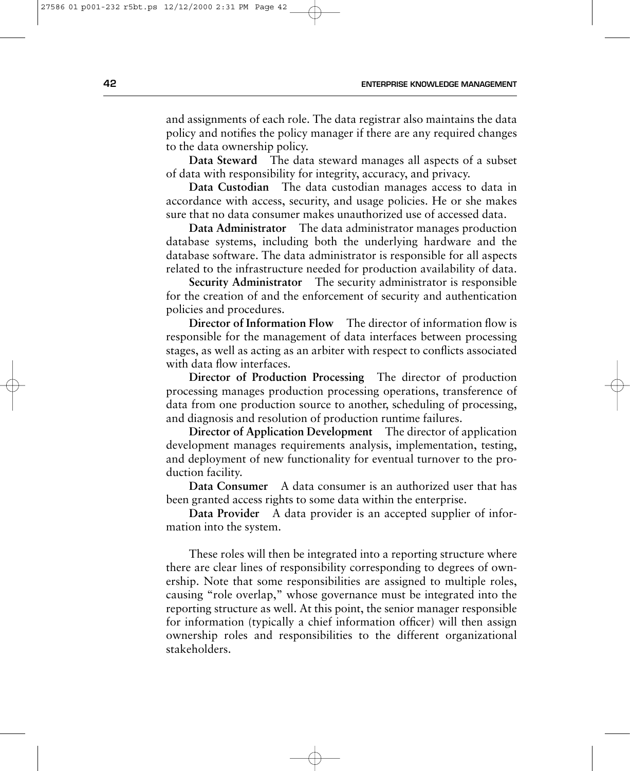and assignments of each role. The data registrar also maintains the data policy and notifies the policy manager if there are any required changes to the data ownership policy.

**Data Steward** The data steward manages all aspects of a subset of data with responsibility for integrity, accuracy, and privacy.

**Data Custodian** The data custodian manages access to data in accordance with access, security, and usage policies. He or she makes sure that no data consumer makes unauthorized use of accessed data.

**Data Administrator** The data administrator manages production database systems, including both the underlying hardware and the database software. The data administrator is responsible for all aspects related to the infrastructure needed for production availability of data.

**Security Administrator** The security administrator is responsible for the creation of and the enforcement of security and authentication policies and procedures.

**Director of Information Flow** The director of information flow is responsible for the management of data interfaces between processing stages, as well as acting as an arbiter with respect to conflicts associated with data flow interfaces.

**Director of Production Processing** The director of production processing manages production processing operations, transference of data from one production source to another, scheduling of processing, and diagnosis and resolution of production runtime failures.

**Director of Application Development** The director of application development manages requirements analysis, implementation, testing, and deployment of new functionality for eventual turnover to the production facility.

**Data Consumer** A data consumer is an authorized user that has been granted access rights to some data within the enterprise.

**Data Provider** A data provider is an accepted supplier of information into the system.

These roles will then be integrated into a reporting structure where there are clear lines of responsibility corresponding to degrees of ownership. Note that some responsibilities are assigned to multiple roles, causing "role overlap," whose governance must be integrated into the reporting structure as well. At this point, the senior manager responsible for information (typically a chief information officer) will then assign ownership roles and responsibilities to the different organizational stakeholders.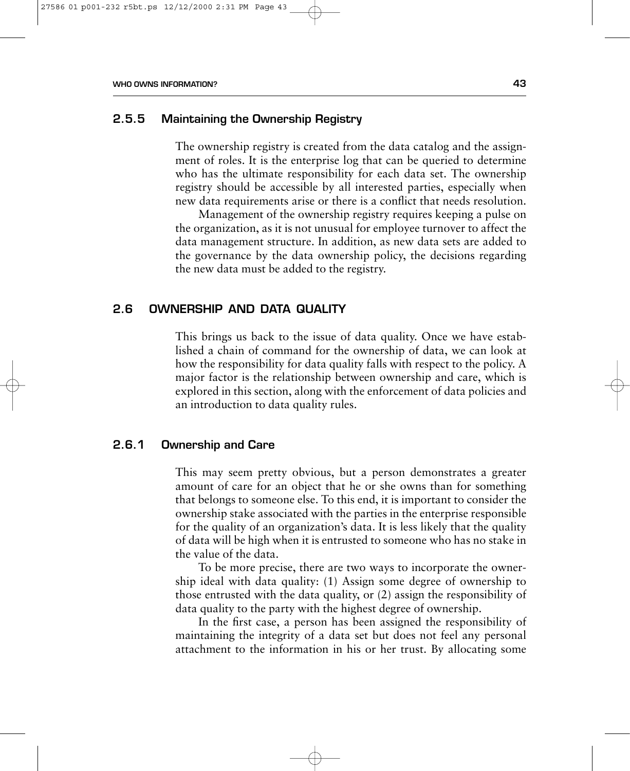#### **2.5.5 Maintaining the Ownership Registry**

The ownership registry is created from the data catalog and the assignment of roles. It is the enterprise log that can be queried to determine who has the ultimate responsibility for each data set. The ownership registry should be accessible by all interested parties, especially when new data requirements arise or there is a conflict that needs resolution.

Management of the ownership registry requires keeping a pulse on the organization, as it is not unusual for employee turnover to affect the data management structure. In addition, as new data sets are added to the governance by the data ownership policy, the decisions regarding the new data must be added to the registry.

#### **2.6 OWNERSHIP AND DATA QUALITY**

This brings us back to the issue of data quality. Once we have established a chain of command for the ownership of data, we can look at how the responsibility for data quality falls with respect to the policy. A major factor is the relationship between ownership and care, which is explored in this section, along with the enforcement of data policies and an introduction to data quality rules.

#### **2.6.1 Ownership and Care**

This may seem pretty obvious, but a person demonstrates a greater amount of care for an object that he or she owns than for something that belongs to someone else. To this end, it is important to consider the ownership stake associated with the parties in the enterprise responsible for the quality of an organization's data. It is less likely that the quality of data will be high when it is entrusted to someone who has no stake in the value of the data.

To be more precise, there are two ways to incorporate the ownership ideal with data quality: (1) Assign some degree of ownership to those entrusted with the data quality, or (2) assign the responsibility of data quality to the party with the highest degree of ownership.

In the first case, a person has been assigned the responsibility of maintaining the integrity of a data set but does not feel any personal attachment to the information in his or her trust. By allocating some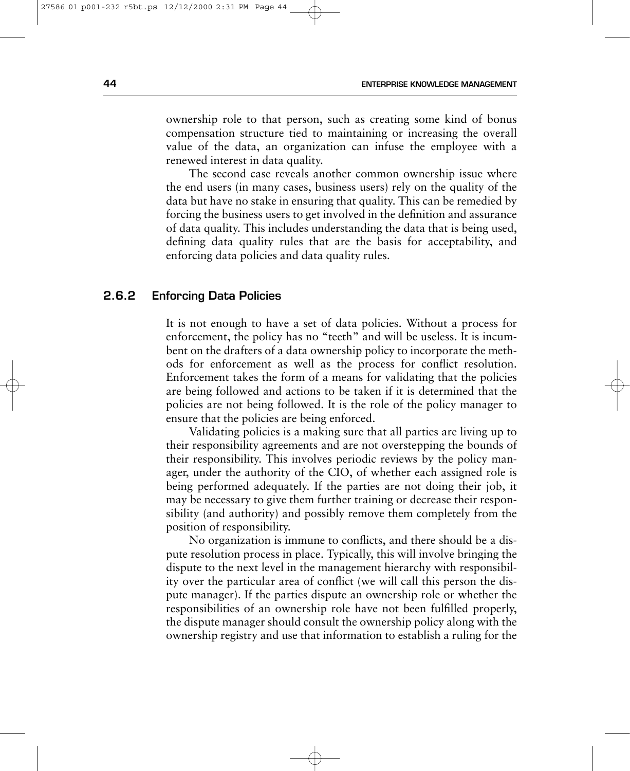ownership role to that person, such as creating some kind of bonus compensation structure tied to maintaining or increasing the overall value of the data, an organization can infuse the employee with a renewed interest in data quality.

The second case reveals another common ownership issue where the end users (in many cases, business users) rely on the quality of the data but have no stake in ensuring that quality. This can be remedied by forcing the business users to get involved in the definition and assurance of data quality. This includes understanding the data that is being used, defining data quality rules that are the basis for acceptability, and enforcing data policies and data quality rules.

#### **2.6.2 Enforcing Data Policies**

It is not enough to have a set of data policies. Without a process for enforcement, the policy has no "teeth" and will be useless. It is incumbent on the drafters of a data ownership policy to incorporate the methods for enforcement as well as the process for conflict resolution. Enforcement takes the form of a means for validating that the policies are being followed and actions to be taken if it is determined that the policies are not being followed. It is the role of the policy manager to ensure that the policies are being enforced.

Validating policies is a making sure that all parties are living up to their responsibility agreements and are not overstepping the bounds of their responsibility. This involves periodic reviews by the policy manager, under the authority of the CIO, of whether each assigned role is being performed adequately. If the parties are not doing their job, it may be necessary to give them further training or decrease their responsibility (and authority) and possibly remove them completely from the position of responsibility.

No organization is immune to conflicts, and there should be a dispute resolution process in place. Typically, this will involve bringing the dispute to the next level in the management hierarchy with responsibility over the particular area of conflict (we will call this person the dispute manager). If the parties dispute an ownership role or whether the responsibilities of an ownership role have not been fulfilled properly, the dispute manager should consult the ownership policy along with the ownership registry and use that information to establish a ruling for the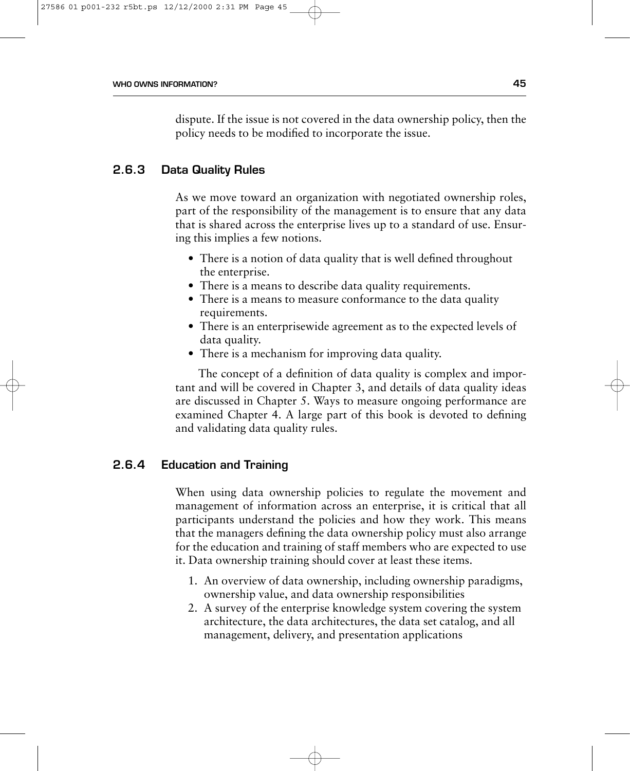dispute. If the issue is not covered in the data ownership policy, then the policy needs to be modified to incorporate the issue.

#### **2.6.3 Data Quality Rules**

As we move toward an organization with negotiated ownership roles, part of the responsibility of the management is to ensure that any data that is shared across the enterprise lives up to a standard of use. Ensuring this implies a few notions.

- There is a notion of data quality that is well defined throughout the enterprise.
- There is a means to describe data quality requirements.
- There is a means to measure conformance to the data quality requirements.
- There is an enterprisewide agreement as to the expected levels of data quality.
- There is a mechanism for improving data quality.

The concept of a definition of data quality is complex and important and will be covered in Chapter 3, and details of data quality ideas are discussed in Chapter 5. Ways to measure ongoing performance are examined Chapter 4. A large part of this book is devoted to defining and validating data quality rules.

#### **2.6.4 Education and Training**

When using data ownership policies to regulate the movement and management of information across an enterprise, it is critical that all participants understand the policies and how they work. This means that the managers defining the data ownership policy must also arrange for the education and training of staff members who are expected to use it. Data ownership training should cover at least these items.

- 1. An overview of data ownership, including ownership paradigms, ownership value, and data ownership responsibilities
- 2. A survey of the enterprise knowledge system covering the system architecture, the data architectures, the data set catalog, and all management, delivery, and presentation applications